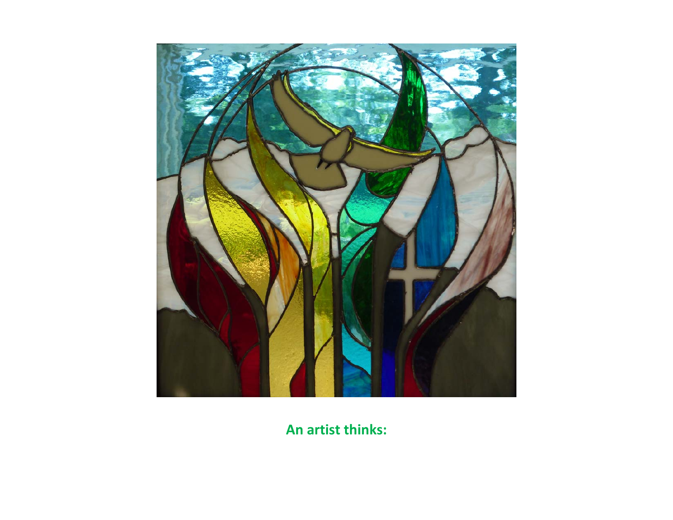

**An artist thinks:**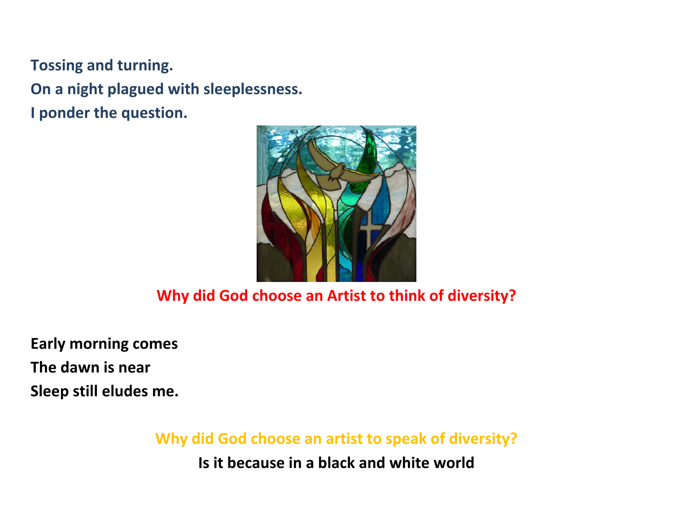**Tossing and turning. On <sup>a</sup> night plagued with sleeplessness. I ponder the question.**



#### **Why did God choose an Artist to think of diversity?**

**Early morning comes The dawn is near Sleep still eludes me.**

**Why did God choose an artist to speak of diversity?**

**Is it because in <sup>a</sup> black and white world**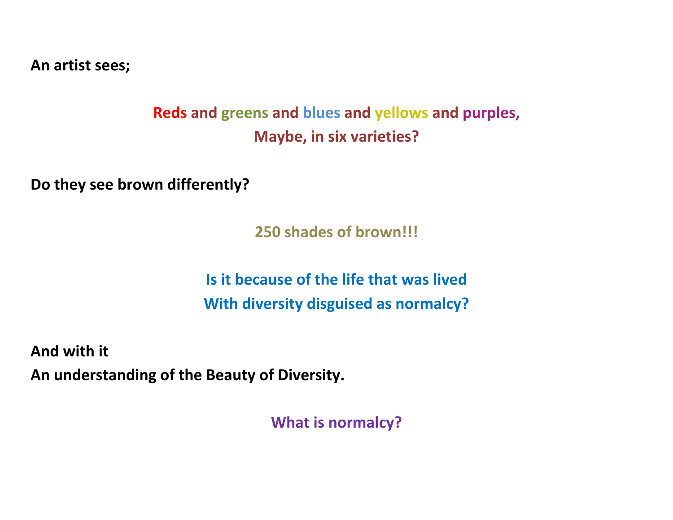**An artist sees;**

## **Reds and greens and blues and yellows and purples, Maybe, in six varieties?**

**Do they see brown differently?**

**250 shades of brown!!!**

**Is it because of the life that was livedWith diversity disguised as normalcy?**

**And with it An understanding of the Beauty of Diversity.**

**What is normalcy?**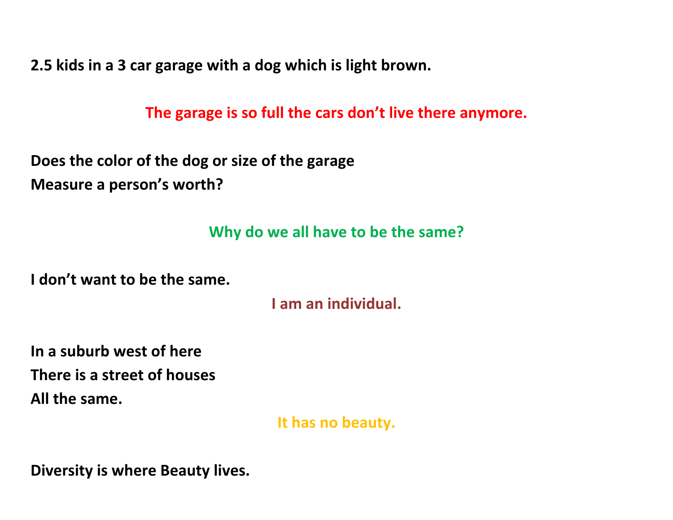**2.5 kids in <sup>a</sup> 3 car garage with <sup>a</sup> dog which is light brown.**

**The garage is so full the cars don't live there anymore.**

**Does the color of the dog or size of the garage Measure <sup>a</sup> person's worth?**

#### **Why do we all have to be the same?**

**I don't want to be the same.**

**I am an individual.**

**In <sup>a</sup> suburb west of here There is <sup>a</sup> street of houses All the same.**

**It has no beauty.**

**Diversity is where Beauty lives.**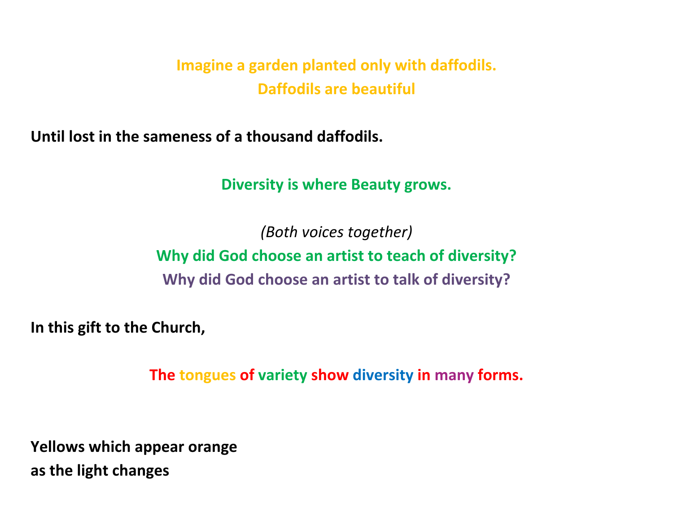**Imagine <sup>a</sup> garden planted only with daffodils. Daffodils are beautiful**

**Until lost in the sameness of <sup>a</sup> thousand daffodils.**

**Diversity is where Beauty grows.**

*(Both voices together)* **Why did God choose an artist to teach of diversity? Why did God choose an artist to talk of diversity?**

**In this gift to the Church,**

**The tongues of variety show diversity in many forms.**

**Yellows which appear orange as the light changes**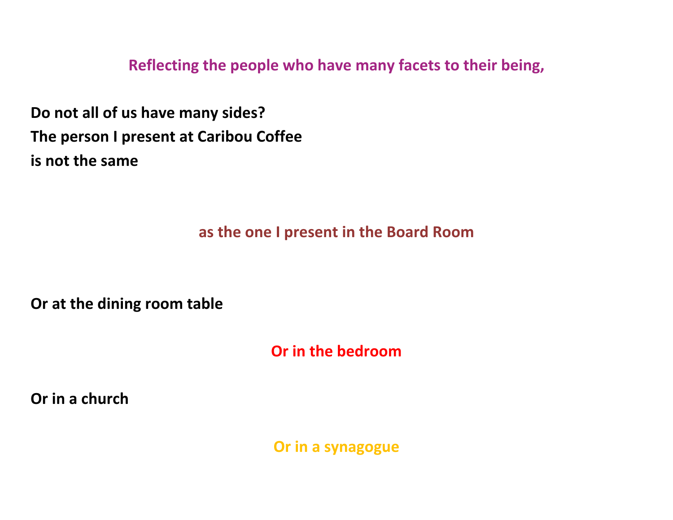**Reflecting the people who have many facets to their being,**

**Do not all of us have many sides? The person I present at Caribou Coffee is not the same**

**as the one I present in the Board Room**

**Or at the dining room table**

**Or in the bedroom**

**Or in <sup>a</sup> church**

**Or in a synagogue**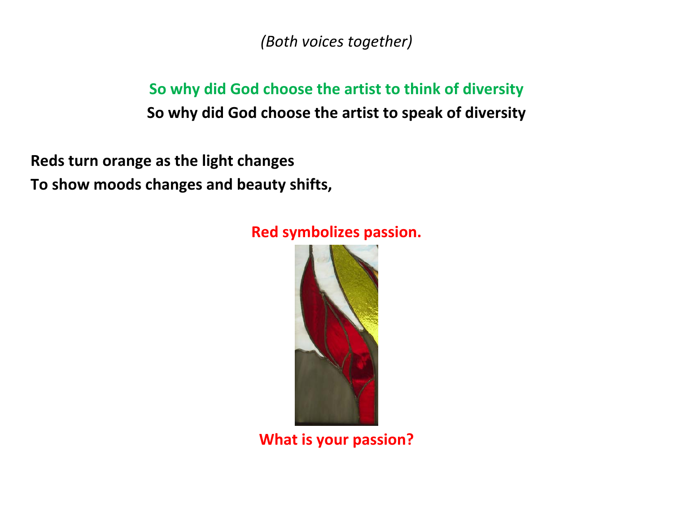*(Both voices together)*

**So why did God choose the artist to think of diversity So why did God choose the artist to speak of diversity**

**Reds turn orange as the light changes To show moods changes and beauty shifts,**

#### **Red symbolizes passion.**



**What is your passion?**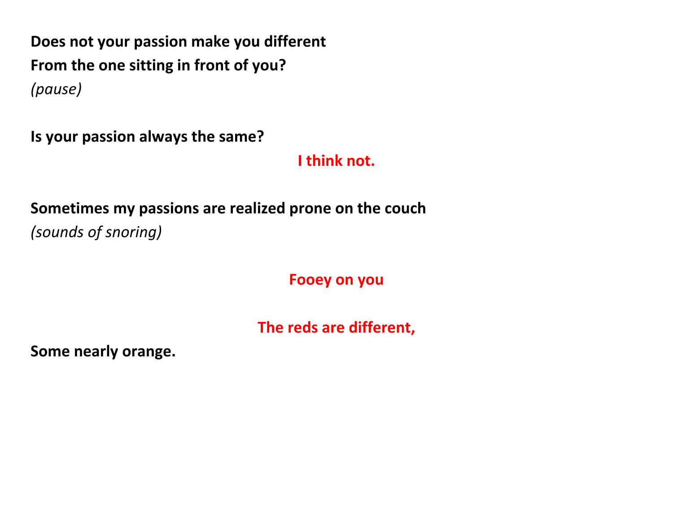**Does not your passion make you different From the one sitting in front of you?** *(pause)*

**Is your passion always the same?**

**I think not.**

## **Sometimes my passions are realized prone on the couch** *(sounds of snoring)*

**Fooey on you**

**The reds are different,**

**Some nearly orange.**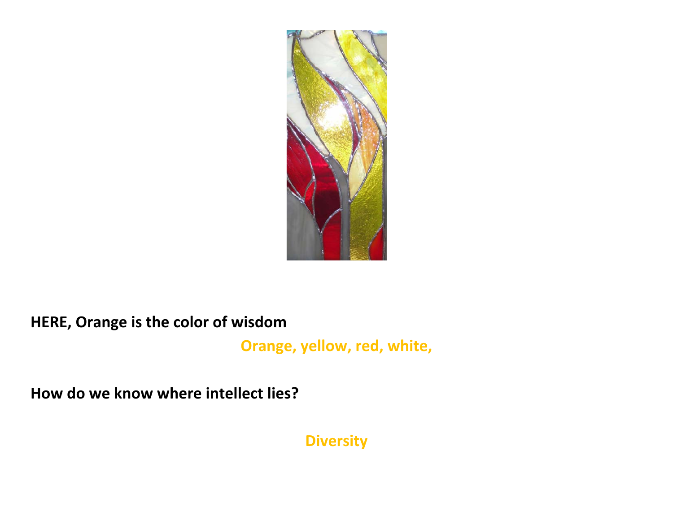

**HERE, Orange is the color of wisdom**

**Orange, yellow, red, white,**

**How do we know where intellect lies?**

**Diversity**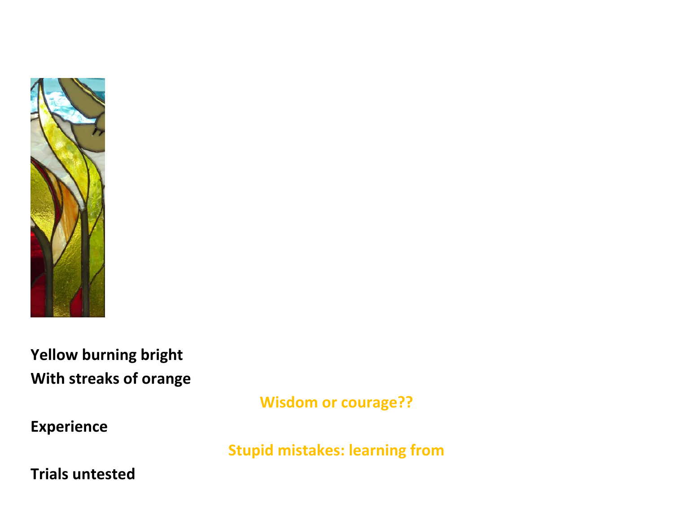

**Yellow burning bright With streaks of orange**

**Wisdom or courage??**

**Experience**

**Stupid mistakes: learning from**

**Trials untested**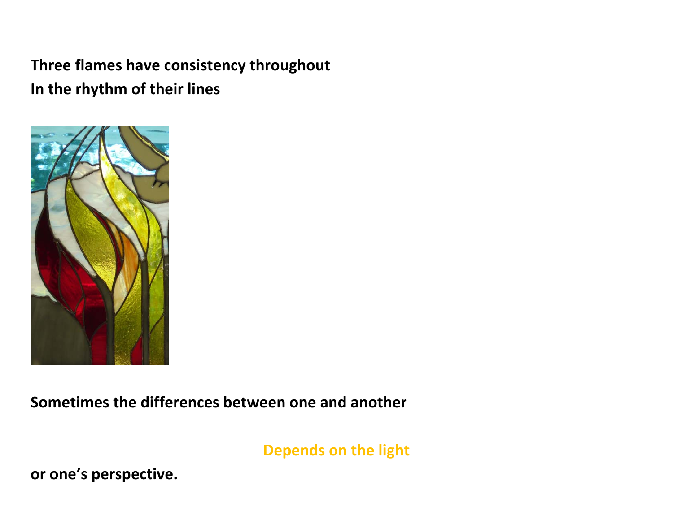**Three flames have consistency throughout In the rhythm of their lines**



**Sometimes the differences between one and another**

**Depends on the light**

**or one's perspective.**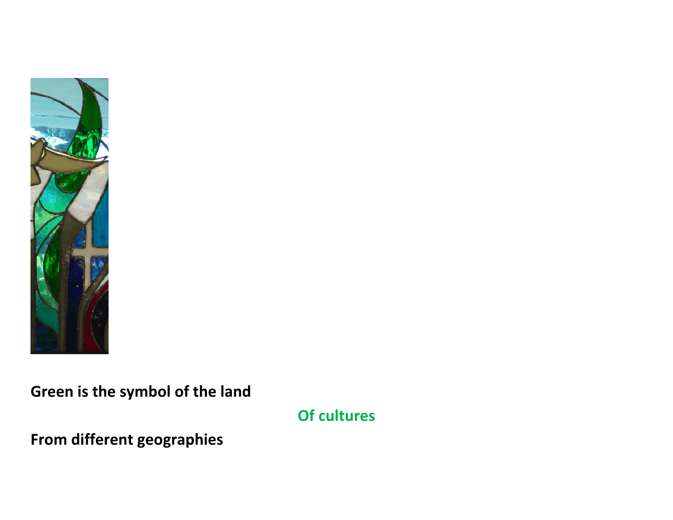

**Green is the symbol of the land**

**Of cultures**

**From different geographies**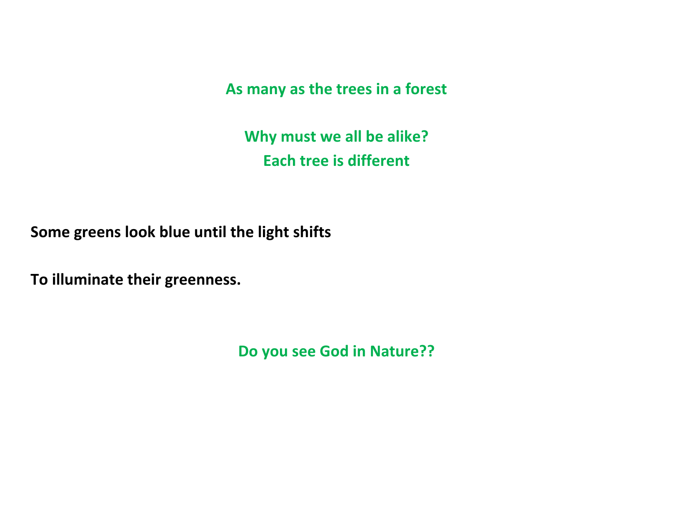**As many as the trees in <sup>a</sup> forest**

**Why must we all be alike? Each tree is different**

**Some greens look blue until the light shifts**

**To illuminate their greenness.**

**Do you see God in Nature??**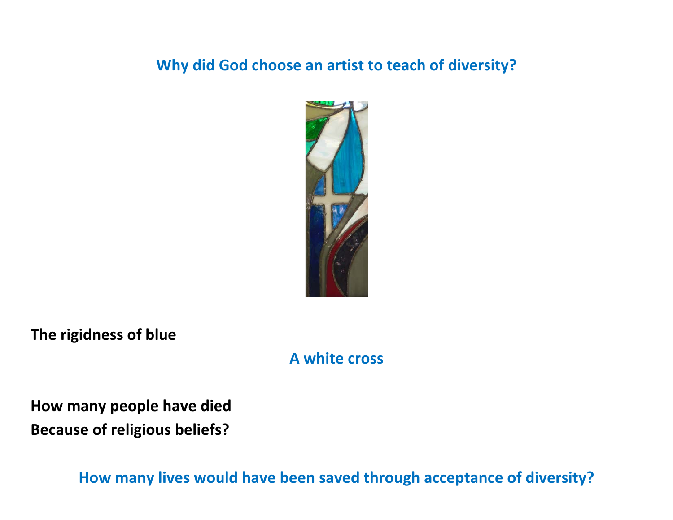#### **Why did God choose an artist to teach of diversity?**



**The rigidness of blue**

#### **A white cross**

**How many people have died Because of religious beliefs?**

**How many lives would have been saved through acceptance of diversity?**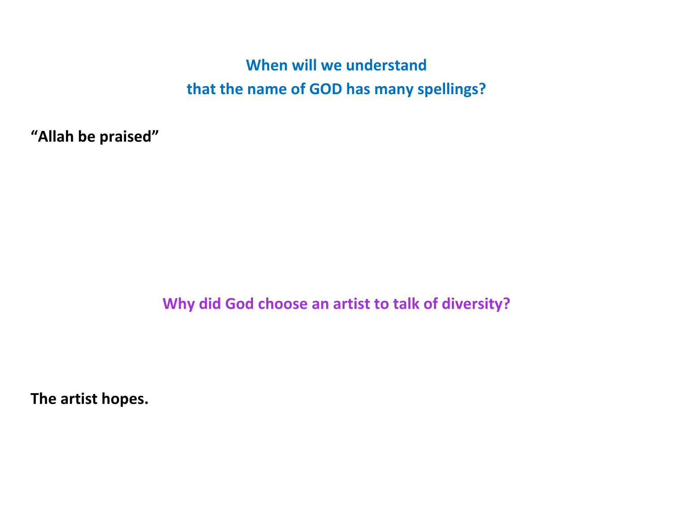**When will we understand that the name of GOD has many spellings?**

**"Allah be praised"**

**Why did God choose an artist to talk of diversity?**

**The artist hopes.**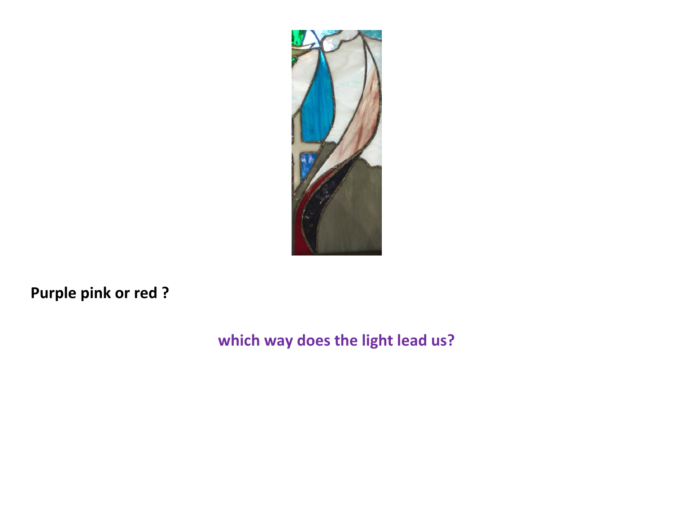

**Purple pink or red ?**

### **which way does the light lead us?**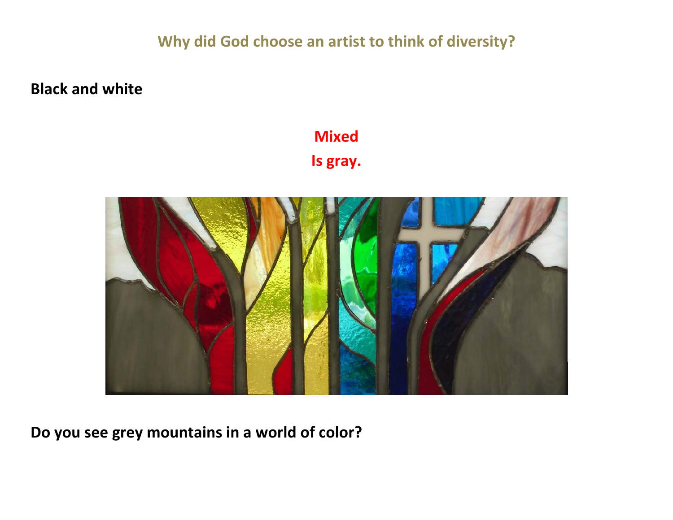**Why did God choose an artist to think of diversity?**

**Black and white**

# **Mixed**

**Is gray.**



**Do you see grey mountains in <sup>a</sup> world of color?**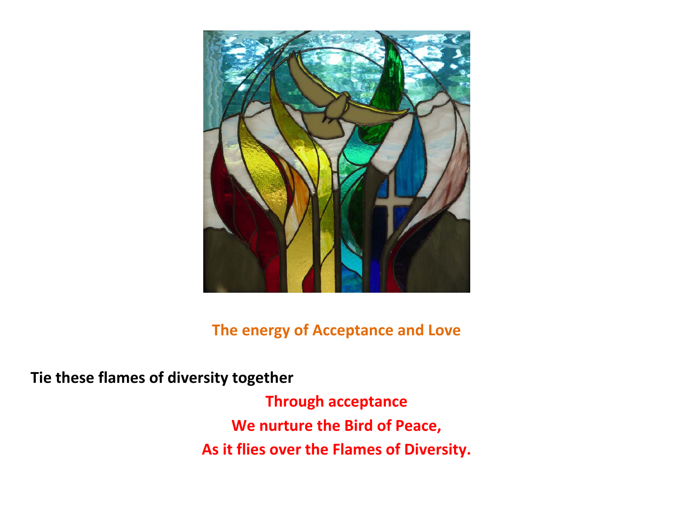

**The energy of Acceptance and Love**

**Tie these flames of diversity together**

**Through acceptance We nurture the Bird of Peace, As it flies over the Flames of Diversity.**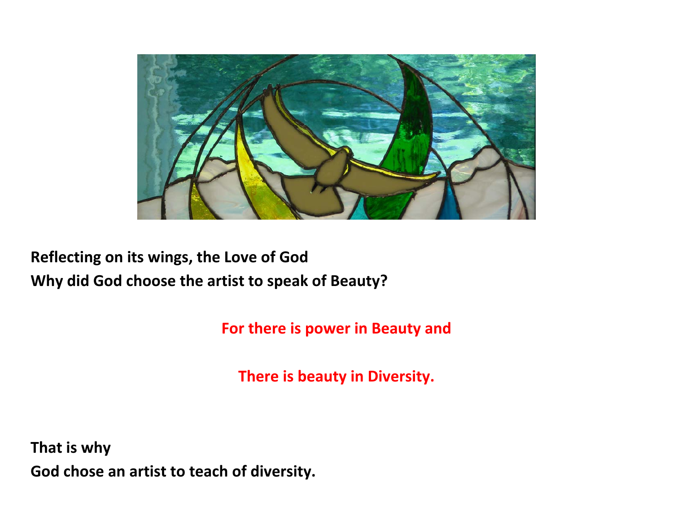

## **Reflecting on its wings, the Love of God Why did God choose the artist to speak of Beauty?**

**For there is power in Beauty and**

**There is beauty in Diversity.**

**That is why God chose an artist to teach of diversity.**